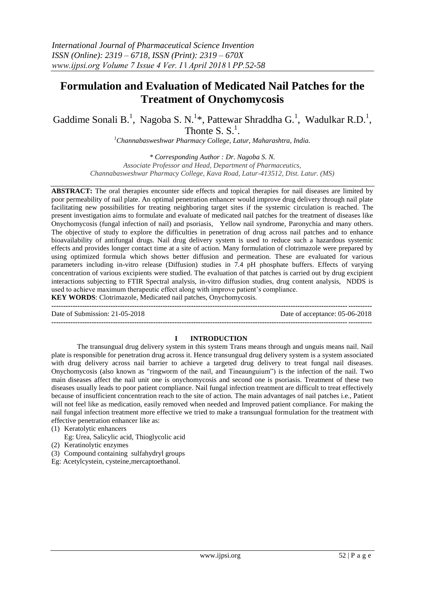# **Formulation and Evaluation of Medicated Nail Patches for the Treatment of Onychomycosis**

Gaddime Sonali B.<sup>1</sup>, Nagoba S. N.<sup>1\*</sup>, Pattewar Shraddha G.<sup>1</sup>, Wadulkar R.D.<sup>1</sup>, Thonte S.  $S^1$ .

*<sup>1</sup>Channabasweshwar Pharmacy College, Latur, Maharashtra, India.*

*\* Corresponding Author : Dr. Nagoba S. N. Associate Professor and Head, Department of Pharmaceutics, Channabasweshwar Pharmacy College, Kava Road, Latur-413512, Dist. Latur. (MS)*

**ABSTRACT:** The oral therapies encounter side effects and topical therapies for nail diseases are limited by poor permeability of nail plate. An optimal penetration enhancer would improve drug delivery through nail plate facilitating new possibilities for treating neighboring target sites if the systemic circulation is reached. The present investigation aims to formulate and evaluate of medicated nail patches for the treatment of diseases like Onychomycosis (fungal infection of nail) and psoriasis, Yellow nail syndrome, Paronychia and many others. The objective of study to explore the difficulties in penetration of drug across nail patches and to enhance bioavailability of antifungal drugs. Nail drug delivery system is used to reduce such a hazardous systemic effects and provides longer contact time at a site of action. Many formulation of clotrimazole were prepared by using optimized formula which shows better diffusion and permeation. These are evaluated for various parameters including in-vitro release (Diffusion) studies in 7.4 pH phosphate buffers. Effects of varying concentration of various excipients were studied. The evaluation of that patches is carried out by drug excipient interactions subjecting to FTIR Spectral analysis, in-vitro diffusion studies, drug content analysis, NDDS is used to achieve maximum therapeutic effect along with improve patient's compliance. **KEY WORDS**: Clotrimazole, Medicated nail patches, Onychomycosis.

**---------------------------------------------------------------------------------------------------------------------------------------** Date of Submission: 21-05-2018 Date of acceptance: 05-06-2018 **---------------------------------------------------------------------------------------------------------------------------------------**

#### **I INTRODUCTION**

The transungual drug delivery system in this system Trans means through and unguis means nail. Nail plate is responsible for penetration drug across it. Hence transungual drug delivery system is a system associated with drug delivery across nail barrier to achieve a targeted drug delivery to treat fungal nail diseases. Onychomycosis (also known as "ringworm of the nail, and Tineaunguium") is the infection of the nail. Two main diseases affect the nail unit one is onychomycosis and second one is psoriasis. Treatment of these two diseases usually leads to poor patient compliance. Nail fungal infection treatment are difficult to treat effectively because of insufficient concentration reach to the site of action. The main advantages of nail patches i.e., Patient will not feel like as medication, easily removed when needed and Improved patient compliance. For making the nail fungal infection treatment more effective we tried to make a transungual formulation for the treatment with effective penetration enhancer like as:

- (1) Keratolytic enhancers
	- Eg: Urea, Salicylic acid, Thioglycolic acid
- (2) Keratinolytic enzymes
- (3) Compound containing sulfahydryl groups
- Eg: Acetylcystein, cysteine,mercaptoethanol.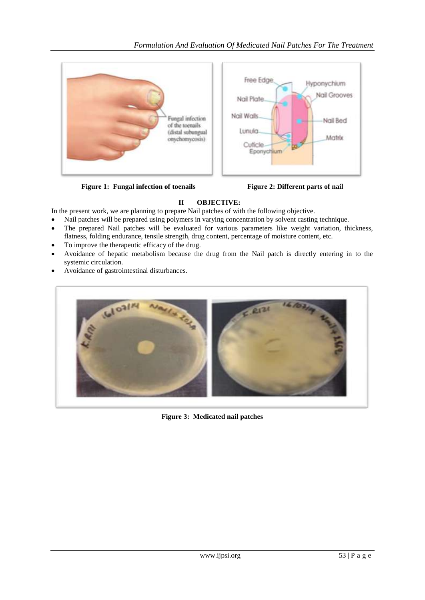

Figure 1: Fungal infection of toenails Figure 2: Different parts of nail



## **II OBJECTIVE:**

In the present work, we are planning to prepare Nail patches of with the following objective.

- Nail patches will be prepared using polymers in varying concentration by solvent casting technique.
- The prepared Nail patches will be evaluated for various parameters like weight variation, thickness, flatness, folding endurance, tensile strength, drug content, percentage of moisture content, etc.
- To improve the therapeutic efficacy of the drug.
- Avoidance of hepatic metabolism because the drug from the Nail patch is directly entering in to the systemic circulation.
- Avoidance of gastrointestinal disturbances.



**Figure 3: Medicated nail patches**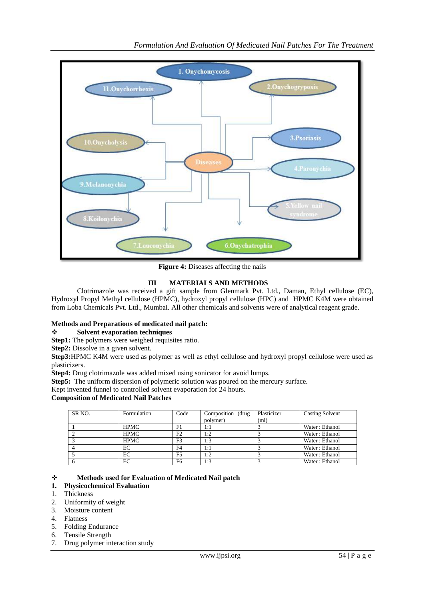

**Figure 4:** Diseases affecting the nails

### **III MATERIALS AND METHODS**

Clotrimazole was received a gift sample from Glenmark Pvt. Ltd., Daman, Ethyl cellulose (EC), Hydroxyl Propyl Methyl cellulose (HPMC), hydroxyl propyl cellulose (HPC) and HPMC K4M were obtained from Loba Chemicals Pvt. Ltd., Mumbai. All other chemicals and solvents were of analytical reagent grade.

### **Methods and Preparations of medicated nail patch:**

### **Solvent evaporation techniques**

**Step1:** The polymers were weighed requisites ratio.

**Step2:** Dissolve in a given solvent.

**Step3:**HPMC K4M were used as polymer as well as ethyl cellulose and hydroxyl propyl cellulose were used as plasticizers.

**Step4:** Drug clotrimazole was added mixed using sonicator for avoid lumps.

**Step5:** The uniform dispersion of polymeric solution was poured on the mercury surface.

Kept invented funnel to controlled solvent evaporation for 24 hours.

#### **Composition of Medicated Nail Patches**

| SR <sub>NO</sub> . | Formulation | Code           | Composition (drug | Plasticizer | <b>Casting Solvent</b> |
|--------------------|-------------|----------------|-------------------|-------------|------------------------|
|                    |             |                | polymer)          | (ml)        |                        |
|                    | <b>HPMC</b> | F1             | 1:1               |             | Water: Ethanol         |
|                    | <b>HPMC</b> | F2             | 1:2               |             | Water: Ethanol         |
|                    | <b>HPMC</b> | F3             | 1:3               |             | Water: Ethanol         |
|                    | EС          | F <sub>4</sub> | 1:1               |             | Water: Ethanol         |
|                    | EС          | F <sub>5</sub> | 1:2               |             | Water: Ethanol         |
|                    | EС          | F <sub>6</sub> | 1:3               |             | Water: Ethanol         |

#### **Methods used for Evaluation of Medicated Nail patch**

### **1. Physicochemical Evaluation**

- 1. Thickness
- 2. Uniformity of weight
- 3. Moisture content
- 4. Flatness
- 5. Folding Endurance
- 6. Tensile Strength
- 7. Drug polymer interaction study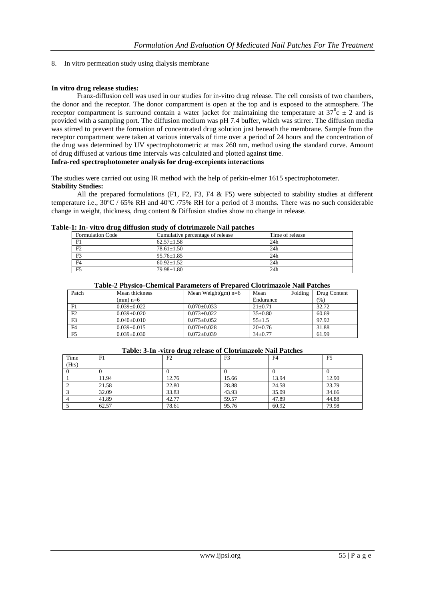8. In vitro permeation study using dialysis membrane

### **In vitro drug release studies:**

Franz-diffusion cell was used in our studies for in-vitro drug release. The cell consists of two chambers, the donor and the receptor. The donor compartment is open at the top and is exposed to the atmosphere. The receptor compartment is surround contain a water jacket for maintaining the temperature at  $37^{\circ}$ c  $\pm$  2 and is provided with a sampling port. The diffusion medium was pH 7.4 buffer, which was stirrer. The diffusion media was stirred to prevent the formation of concentrated drug solution just beneath the membrane. Sample from the receptor compartment were taken at various intervals of time over a period of 24 hours and the concentration of the drug was determined by UV spectrophotometric at max 260 nm, method using the standard curve. Amount of drug diffused at various time intervals was calculated and plotted against time.

### **Infra-red spectrophotometer analysis for drug-excepients interactions**

The studies were carried out using IR method with the help of perkin-elmer 1615 spectrophotometer. **Stability Studies:**

All the prepared formulations (F1, F2, F3, F4  $\&$  F5) were subjected to stability studies at different temperature i.e., 30ºC / 65% RH and 40ºC /75% RH for a period of 3 months. There was no such considerable change in weight, thickness, drug content & Diffusion studies show no change in release.

|  |  | Table-1: In- vitro drug diffusion study of clotrimazole Nail patches |  |  |  |
|--|--|----------------------------------------------------------------------|--|--|--|
|  |  |                                                                      |  |  |  |

| <b>Formulation Code</b> | Cumulative percentage of release | Time of release |  |  |  |  |
|-------------------------|----------------------------------|-----------------|--|--|--|--|
| F1                      | $62.57 \pm 1.58$                 | 24h             |  |  |  |  |
| F2                      | $78.61 \pm 1.50$                 | 24h             |  |  |  |  |
| F <sub>3</sub>          | $95.76 \pm 1.85$                 | 24h             |  |  |  |  |
| F <sub>4</sub>          | $60.92+1.52$                     | 24h             |  |  |  |  |
| F <sub>5</sub>          | $79.98 \pm 1.80$                 | 24h             |  |  |  |  |

|--|

| Patch          | Mean thickness    | Mean Weight $(gm)$ n=6 | Folding<br>Mean | Drug Content |
|----------------|-------------------|------------------------|-----------------|--------------|
|                | $(mm)$ n=6        |                        | Endurance       | (% )         |
| F1             | $0.039 \pm 0.022$ | $0.070 \pm 0.033$      | $21 \pm 0.71$   | 32.72        |
| F2             | $0.039 \pm 0.020$ | $0.073 \pm 0.022$      | $35 \pm 0.80$   | 60.69        |
| F3             | $0.040 \pm 0.010$ | $0.075 \pm 0.052$      | $55 \pm 1.5$    | 97.92        |
| F <sub>4</sub> | $0.039 \pm 0.015$ | $0.070 \pm 0.028$      | $20 \pm 0.76$   | 31.88        |
| F <sub>5</sub> | $0.039 \pm 0.030$ | $0.072 + 0.039$        | $34 \pm 0.77$   | 61.99        |

#### **Table: 3-In -vitro drug release of Clotrimazole Nail Patches**

| Time  | F1    | F2    | F <sub>3</sub> | F <sub>4</sub> | F <sub>5</sub> |
|-------|-------|-------|----------------|----------------|----------------|
| (Hrs) |       |       |                |                |                |
|       |       |       |                |                |                |
|       | 11.94 | 12.76 | 15.66          | 13.94          | 12.90          |
|       | 21.58 | 22.80 | 28.88          | 24.58          | 23.79          |
|       | 32.09 | 33.83 | 43.93          | 35.09          | 34.66          |
|       | 41.89 | 42.77 | 59.57          | 47.89          | 44.88          |
|       | 62.57 | 78.61 | 95.76          | 60.92          | 79.98          |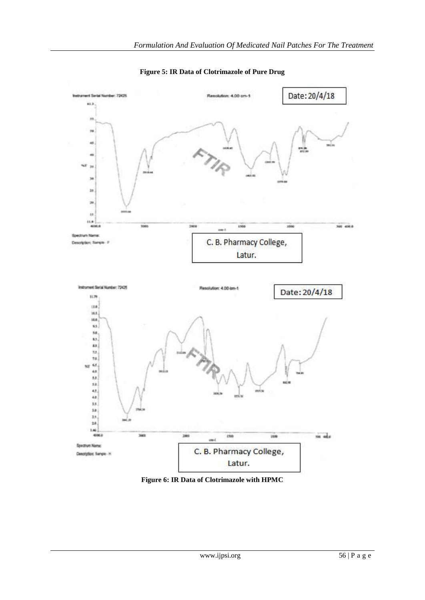

**Figure 5: IR Data of Clotrimazole of Pure Drug**

**Figure 6: IR Data of Clotrimazole with HPMC**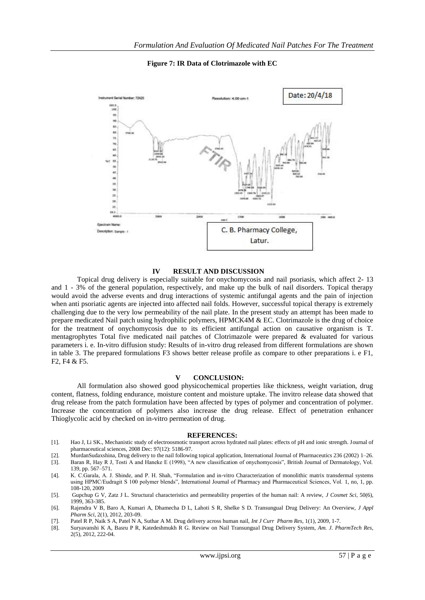**Figure 7: IR Data of Clotrimazole with EC**



#### **IV RESULT AND DISCUSSION**

Topical drug delivery is especially suitable for onychomycosis and nail psoriasis, which affect 2- 13 and 1 - 3% of the general population, respectively, and make up the bulk of nail disorders. Topical therapy would avoid the adverse events and drug interactions of systemic antifungal agents and the pain of injection when anti psoriatic agents are injected into affected nail folds. However, successful topical therapy is extremely challenging due to the very low permeability of the nail plate. In the present study an attempt has been made to prepare medicated Nail patch using hydrophilic polymers, HPMCK4M & EC. Clotrimazole is the drug of choice for the treatment of onychomycosis due to its efficient antifungal action on causative organism is T. mentagrophytes Total five medicated nail patches of Clotrimazole were prepared & evaluated for various parameters i. e. In-vitro diffusion study: Results of in-vitro drug released from different formulations are shown in table 3. The prepared formulations F3 shows better release profile as compare to other preparations i. e F1, F2, F4 & F5.

#### **V CONCLUSION:**

All formulation also showed good physicochemical properties like thickness, weight variation, drug content, flatness, folding endurance, moisture content and moisture uptake. The invitro release data showed that drug release from the patch formulation have been affected by types of polymer and concentration of polymer. Increase the concentration of polymers also increase the drug release. Effect of penetration enhancer Thioglycolic acid by checked on in-vitro permeation of drug.

#### **REFERENCES:**

- [1]. Hao J, Li SK., Mechanistic study of electroosmotic transport across hydrated nail plates: effects of pH and ionic strength. Journal of pharmaceutical sciences, 2008 Dec: 97(12): 5186-97.
- [2]. MurdanSudaxshina, Drug delivery to the nail following topical application, International Journal of Pharmaceutics 236 (2002) 1–26.
- [3]. Baran R, Hay R J, Tosti A and Haneke E (1998), "A new classification of onychomycosis", British Journal of Dermatology, Vol. 139, pp. 567–571.
- [4]. K. C.Garala, A. J. Shinde, and P. H. Shah, "Formulation and in-vitro Characterization of monolithic matrix transdermal systems using HPMC/Eudragit S 100 polymer blends", International Journal of Pharmacy and Pharmaceutical Sciences, Vol. 1, no, 1, pp. 108-120, 2009
- [5]. Gupchup G V, Zatz J L. Structural characteristics and permeability properties of the human nail: A review, *J Cosmet Sci,* 50(6), 1999, 363-385.
- [6]. Rajendra V B, Baro A, Kumari A, Dhamecha D L, Lahoti S R, Shelke S D. Transungual Drug Delivery: An Overview, *J Appl Pharm Sci*, 2(1), 2012, 203-09.
- [7]. Patel R P, Naik S A, Patel N A, Suthar A M. Drug delivery across human nail, *Int J Curr Pharm Res,* 1(1), 2009, 1-7.
- [8]. Suryavanshi K A, Basru P R, Katedeshmukh R G. Review on Nail Transungual Drug Delivery System, *Am. J. PharmTech Res*, 2(5), 2012, 222-04.